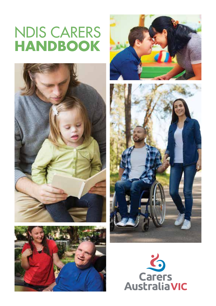# NDIS CARERS **HANDBOOK**









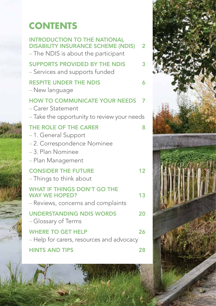## **CONTENTS**

| <b>INTRODUCTION TO THE NATIONAL</b><br><b>DISABILITY INSURANCE SCHEME (NDIS)</b><br>- The NDIS is about the participant | $\overline{2}$ |
|-------------------------------------------------------------------------------------------------------------------------|----------------|
| <b>SUPPORTS PROVIDED BY THE NDIS</b><br>- Services and supports funded                                                  | 3              |
| <b>RESPITE UNDER THE NDIS</b><br>– New language                                                                         | 6              |
| <b>HOW TO COMMUNICATE YOUR NEEDS</b><br>- Carer Statement                                                               | 7              |
| - Take the opportunity to review your needs                                                                             |                |
| THE ROLE OF THE CARER<br>-1. General Support<br>-2. Correspondence Nominee                                              | 8              |
| -3. Plan Nominee<br>- Plan Management                                                                                   |                |
| <b>CONSIDER THE FUTURE</b><br>- Things to think about                                                                   | 12             |
| <b>WHAT IF THINGS DON'T GO THE</b><br><b>WAY WE HOPED?</b><br>- Reviews, concerns and complaints                        | 13             |
| <b>UNDERSTANDING NDIS WORDS</b><br>- Glossary of Terms                                                                  | 20             |
| <b>WHERE TO GET HELP</b><br>- Help for carers, resources and advocacy                                                   | 26             |
| <b>HINTS AND TIPS</b>                                                                                                   | 28             |
|                                                                                                                         |                |

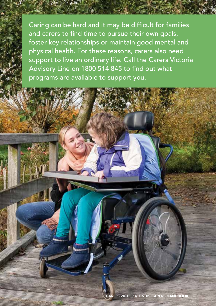Caring can be hard and it may be difficult for families and carers to find time to pursue their own goals, foster key relationships or maintain good mental and physical health. For these reasons, carers also need support to live an ordinary life. Call the Carers Victoria Advisory Line on 1800 514 845 to find out what programs are available to support you.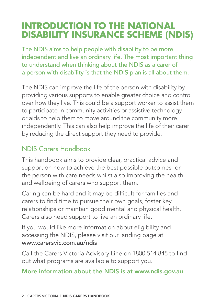## **INTRODUCTION TO THE NATIONAL DISABILITY INSURANCE SCHEME (NDIS)**

The NDIS aims to help people with disability to be more independent and live an ordinary life. The most important thing to understand when thinking about the NDIS as a carer of a person with disability is that the NDIS plan is all about them.

The NDIS can improve the life of the person with disability by providing various supports to enable greater choice and control over how they live. This could be a support worker to assist them to participate in community activities or assistive technology or aids to help them to move around the community more independently. This can also help improve the life of their carer by reducing the direct support they need to provide.

## NDIS Carers Handbook

This handbook aims to provide clear, practical advice and support on how to achieve the best possible outcomes for the person with care needs whilst also improving the health and wellbeing of carers who support them.

Caring can be hard and it may be difficult for families and carers to find time to pursue their own goals, foster key relationships or maintain good mental and physical health. Carers also need support to live an ordinary life.

If you would like more information about eligibility and accessing the NDIS, please visit our landing page at www.carersvic.com.au/ndis

Call the Carers Victoria Advisory Line on 1800 514 845 to find out what programs are available to support you.

#### More information about the NDIS is at www.ndis.gov.au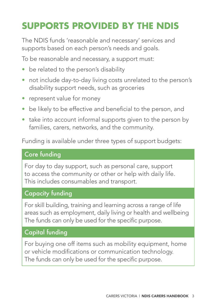## **SUPPORTS PROVIDED BY THE NDIS**

The NDIS funds 'reasonable and necessary' services and supports based on each person's needs and goals.

To be reasonable and necessary, a support must:

- be related to the person's disability
- not include day-to-day living costs unrelated to the person's disability support needs, such as groceries
- represent value for money
- be likely to be effective and beneficial to the person, and
- take into account informal supports given to the person by families, carers, networks, and the community.

Funding is available under three types of support budgets:

#### Core funding

For day to day support, such as personal care, support to access the community or other or help with daily life. This includes consumables and transport.

#### Capacity funding

For skill building, training and learning across a range of life areas such as employment, daily living or health and wellbeing The funds can only be used for the specific purpose.

#### Capital funding

For buying one off items such as mobility equipment, home or vehicle modifications or communication technology. The funds can only be used for the specific purpose.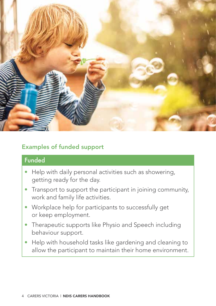

#### Examples of funded support

### Funded

- Help with daily personal activities such as showering, getting ready for the day.
- Transport to support the participant in joining community, work and family life activities.
- Workplace help for participants to successfully get or keep employment.
- Therapeutic supports like Physio and Speech including behaviour support.
- Help with household tasks like gardening and cleaning to allow the participant to maintain their home environment.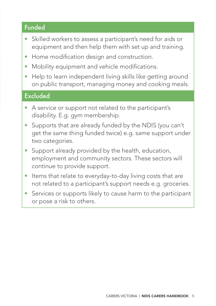#### Funded

- Skilled workers to assess a participant's need for aids or equipment and then help them with set up and training.
- Home modification design and construction.
- Mobility equipment and vehicle modifications.
- Help to learn independent living skills like getting around on public transport, managing money and cooking meals.

#### **Excluded**

- A service or support not related to the participant's disability. E.g. gym membership.
- Supports that are already funded by the NDIS (you can't get the same thing funded twice) e.g. same support under two categories.
- Support already provided by the health, education, employment and community sectors. These sectors will continue to provide support.
- Items that relate to everyday-to-day living costs that are not related to a participant's support needs e.g. groceries.
- Services or supports likely to cause harm to the participant or pose a risk to others.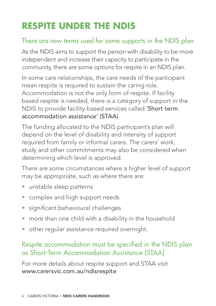## **RESPITE UNDER THE NDIS**

## There are new terms used for some supports in the NDIS plan

As the NDIS aims to support the person with disability to be more independent and increase their capacity to participate in the community, there are some options for respite in an NDIS plan.

In some care relationships, the care needs of the participant mean respite is required to sustain the caring role. Accommodation is not the only form of respite. If facility based respite is needed, there is a category of support in the NDIS to provide facility-based services called 'Short term accommodation assistance' (STAA).

The funding allocated to the NDIS participant's plan will depend on the level of disability and intensity of support required from family or informal carers. The carers' work, study and other commitments may also be considered when determining which level is approved.

There are some circumstances where a higher level of support may be appropriate, such as where there are:

- unstable sleep patterns
- complex and high support needs
- significant behavioural challenges
- more than one child with a disability in the household
- other regular assistance required overnight.

## Respite accommodation must be specified in the NDIS plan as Short-Term Accommodation Assistance (STAA)

For more details about respite support and STAA visit www.carersvic.com.au/ndisrespite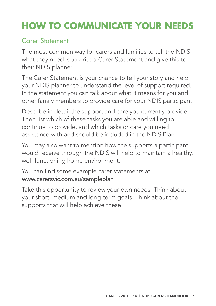## **HOW TO COMMUNICATE YOUR NEEDS**

### Carer Statement

The most common way for carers and families to tell the NDIS what they need is to write a Carer Statement and give this to their NDIS planner.

The Carer Statement is your chance to tell your story and help your NDIS planner to understand the level of support required. In the statement you can talk about what it means for you and other family members to provide care for your NDIS participant.

Describe in detail the support and care you currently provide. Then list which of these tasks you are able and willing to continue to provide, and which tasks or care you need assistance with and should be included in the NDIS Plan.

You may also want to mention how the supports a participant would receive through the NDIS will help to maintain a healthy, well-functioning home environment.

You can find some example carer statements at www.carersvic.com.au/sampleplan

Take this opportunity to review your own needs. Think about your short, medium and long-term goals. Think about the supports that will help achieve these.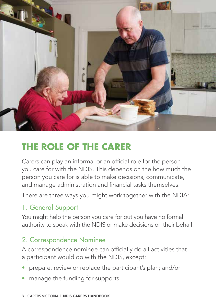

## **THE ROLE OF THE CARER**

Carers can play an informal or an official role for the person you care for with the NDIS. This depends on the how much the person you care for is able to make decisions, communicate, and manage administration and financial tasks themselves.

There are three ways you might work together with the NDIA:

## 1. General Support

You might help the person you care for but you have no formal authority to speak with the NDIS or make decisions on their behalf.

### 2. Correspondence Nominee

A correspondence nominee can officially do all activities that a participant would do with the NDIS, except:

- prepare, review or replace the participant's plan; and/or
- manage the funding for supports.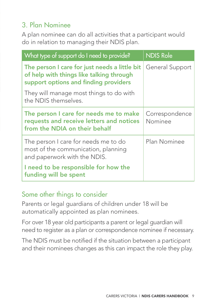## 3. Plan Nominee

A plan nominee can do all activities that a participant would do in relation to managing their NDIS plan.

| What type of support do I need to provide?                                                                                         | <b>NDIS Role</b>          |
|------------------------------------------------------------------------------------------------------------------------------------|---------------------------|
| The person I care for just needs a little bit<br>of help with things like talking through<br>support options and finding providers | General Support           |
| They will manage most things to do with<br>the NDIS themselves.                                                                    |                           |
| The person I care for needs me to make<br>requests and receive letters and notices<br>from the NDIA on their behalf                | Correspondence<br>Nominee |
| The person I care for needs me to do<br>most of the communication, planning<br>and paperwork with the NDIS.                        | Plan Nominee              |
| I need to be responsible for how the<br>funding will be spent                                                                      |                           |

### Some other things to consider

Parents or legal guardians of children under 18 will be automatically appointed as plan nominees.

For over 18 year old participants a parent or legal guardian will need to register as a plan or correspondence nominee if necessary.

The NDIS must be notified if the situation between a participant and their nominees changes as this can impact the role they play.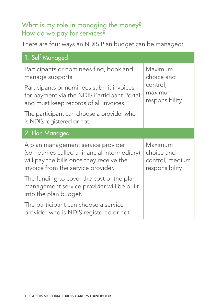## What is my role in managing the money? How do we pay for services?

There are four ways an NDIS Plan budget can be managed:

| 1. Self Managed                                                                                                                                                     |                                                                |
|---------------------------------------------------------------------------------------------------------------------------------------------------------------------|----------------------------------------------------------------|
| Participants or nominees find, book and<br>manage supports.                                                                                                         | Maximum<br>choice and<br>control,<br>maximum<br>responsibility |
| Participants or nominees submit invoices<br>for payment via the NDIS Participant Portal<br>and must keep records of all invoices.                                   |                                                                |
| The participant can choose a provider who<br>is NDIS registered or not.                                                                                             |                                                                |
| 2. Plan Managed                                                                                                                                                     |                                                                |
| A plan management service provider<br>(sometimes called a financial intermediary)<br>will pay the bills once they receive the<br>invoice from the service provider. | Maximum<br>choice and<br>control, medium<br>responsibility     |
| The funding to cover the cost of the plan<br>management service provider will be built<br>into the plan budget.                                                     |                                                                |
| The participant can choose a service<br>provider who is NDIS registered or not.                                                                                     |                                                                |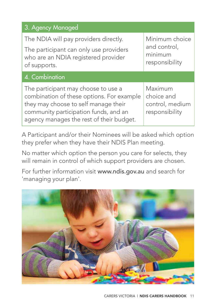| 3. Agency Managed                                                                                                                                                                                             |                                                             |
|---------------------------------------------------------------------------------------------------------------------------------------------------------------------------------------------------------------|-------------------------------------------------------------|
| The NDIA will pay providers directly.<br>The participant can only use providers<br>who are an NDIA registered provider<br>of supports.                                                                        | Minimum choice<br>and control,<br>minimum<br>responsibility |
| $\overline{4}$ . Combination                                                                                                                                                                                  |                                                             |
| The participant may choose to use a<br>combination of these options. For example<br>they may choose to self manage their<br>community participation funds, and an<br>agency manages the rest of their budget. | Maximum<br>choice and<br>control, medium<br>responsibility  |

A Participant and/or their Nominees will be asked which option they prefer when they have their NDIS Plan meeting.

No matter which option the person you care for selects, they will remain in control of which support providers are chosen.

For further information visit www.ndis.gov.au and search for 'managing your plan'.

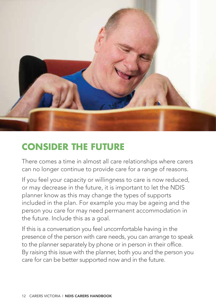

## **CONSIDER THE FUTURE**

There comes a time in almost all care relationships where carers can no longer continue to provide care for a range of reasons.

If you feel your capacity or willingness to care is now reduced, or may decrease in the future, it is important to let the NDIS planner know as this may change the types of supports included in the plan. For example you may be ageing and the person you care for may need permanent accommodation in the future. Include this as a goal.

If this is a conversation you feel uncomfortable having in the presence of the person with care needs, you can arrange to speak to the planner separately by phone or in person in their office. By raising this issue with the planner, both you and the person you care for can be better supported now and in the future.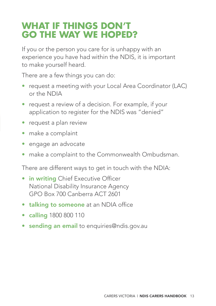## **WHAT IF THINGS DON'T GO THE WAY WE HOPED?**

If you or the person you care for is unhappy with an experience you have had within the NDIS, it is important to make yourself heard.

There are a few things you can do:

- request a meeting with your Local Area Coordinator (LAC) or the NDIA
- request a review of a decision. For example, if your application to register for the NDIS was "denied"
- request a plan review
- make a complaint
- engage an advocate
- make a complaint to the Commonwealth Ombudsman.

There are different ways to get in touch with the NDIA:

- in writing Chief Executive Officer National Disability Insurance Agency GPO Box 700 Canberra ACT 2601
- talking to someone at an NDIA office
- calling 1800 800 110
- **sending an email** to enquiries@ndis.gov.au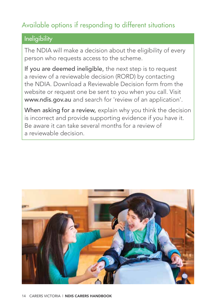## Available options if responding to different situations

### **Ineligibility**

The NDIA will make a decision about the eligibility of every person who requests access to the scheme.

If you are deemed ineligible, the next step is to request a review of a reviewable decision (RORD) by contacting the NDIA. Download a Reviewable Decision form from the website or request one be sent to you when you call. Visit www.ndis.gov.au and search for 'review of an application'.

When asking for a review, explain why you think the decision is incorrect and provide supporting evidence if you have it. Be aware it can take several months for a review of a reviewable decision.

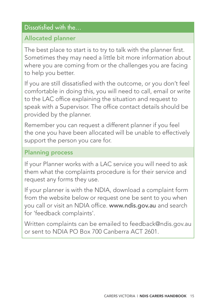### Dissatisfied with the...

#### Allocated planner

The best place to start is to try to talk with the planner first. Sometimes they may need a little bit more information about where you are coming from or the challenges you are facing to help you better.

If you are still dissatisfied with the outcome, or you don't feel comfortable in doing this, you will need to call, email or write to the LAC office explaining the situation and request to speak with a Supervisor. The office contact details should be provided by the planner.

Remember you can request a different planner if you feel the one you have been allocated will be unable to effectively support the person you care for.

#### Planning process

If your Planner works with a LAC service you will need to ask them what the complaints procedure is for their service and request any forms they use.

If your planner is with the NDIA, download a complaint form from the website below or request one be sent to you when you call or visit an NDIA office. www.ndis.gov.au and search for 'feedback complaints'.

Written complaints can be emailed to feedback@ndis.gov.au or sent to NDIA PO Box 700 Canberra ACT 2601.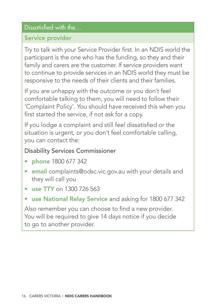### Dissatisfied with the...

#### Service provider

Try to talk with your Service Provider first. In an NDIS world the participant is the one who has the funding, so they and their family and carers are the customer. If service providers want to continue to provide services in an NDIS world they must be responsive to the needs of their clients and their families.

If you are unhappy with the outcome or you don't feel comfortable talking to them, you will need to follow their 'Complaint Policy'. You should have received this when you first started the service, if not ask for a copy.

If you lodge a complaint and still feel dissatisfied or the situation is urgent, or you don't feel comfortable calling, you can contact the:

#### Disability Services Commissioner

- phone 1800 677 342
- email complaints@odsc.vic.gov.au with your details and they will call you
- use TTY on 1300 726 563
- use National Relay Service and asking for 1800 677 342

Also remember you can choose to find a new provider. You will be required to give 14 days notice if you decide to go to another provider.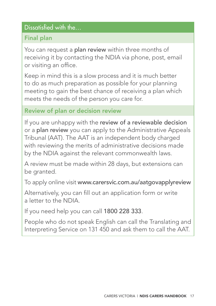#### Dissatisfied with the…

#### Final plan

You can request a plan review within three months of receiving it by contacting the NDIA via phone, post, email or visiting an office.

Keep in mind this is a slow process and it is much better to do as much preparation as possible for your planning meeting to gain the best chance of receiving a plan which meets the needs of the person you care for.

#### Review of plan or decision review

If you are unhappy with the review of a reviewable decision or a plan review you can apply to the Administrative Appeals Tribunal (AAT). The AAT is an independent body charged with reviewing the merits of administrative decisions made by the NDIA against the relevant commonwealth laws.

A review must be made within 28 days, but extensions can be granted.

To apply online visit www.carersvic.com.au/aatgovapplyreview

Alternatively, you can fill out an application form or write a letter to the NDIA.

If you need help you can call 1800 228 333.

People who do not speak English can call the Translating and Interpreting Service on 131 450 and ask them to call the AAT.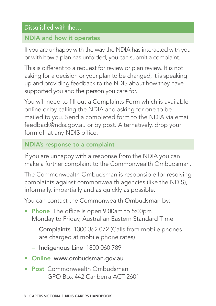#### Dissatisfied with the…

#### NDIA and how it operates

If you are unhappy with the way the NDIA has interacted with you or with how a plan has unfolded, you can submit a complaint.

This is different to a request for review or plan review. It is not asking for a decision or your plan to be changed, it is speaking up and providing feedback to the NDIS about how they have supported you and the person you care for.

You will need to fill out a Complaints Form which is available online or by calling the NDIA and asking for one to be mailed to you. Send a completed form to the NDIA via email feedback@ndis.gov.au or by post. Alternatively, drop your form off at any NDIS office.

#### NDIA's response to a complaint

If you are unhappy with a response from the NDIA you can make a further complaint to the Commonwealth Ombudsman.

The Commonwealth Ombudsman is responsible for resolving complaints against commonwealth agencies (like the NDIS), informally, impartially and as quickly as possible.

You can contact the Commonwealth Ombudsman by:

- Phone The office is open 9:00am to 5:00pm Monday to Friday, Australian Eastern Standard Time
	- Complaints 1300 362 072 (Calls from mobile phones are charged at mobile phone rates)
	- Indigenous Line 1800 060 789
- Online www.ombudsman.gov.au
- Post Commonwealth Ombudsman GPO Box 442 Canberra ACT 2601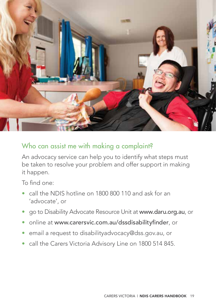

### Who can assist me with making a complaint?

An advocacy service can help you to identify what steps must be taken to resolve your problem and offer support in making it happen.

To find one:

- call the NDIS hotline on 1800 800 110 and ask for an 'advocate', or
- go to Disability Advocate Resource Unit at www.daru.org.au, or
- online at www.carersvic.com.au/dssdisabilityfinder, or
- email a request to disabilityadvocacy@dss.gov.au, or
- call the Carers Victoria Advisory Line on 1800 514 845.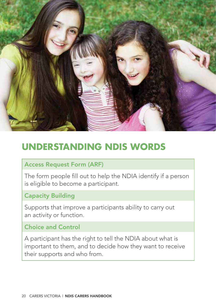

## **UNDERSTANDING NDIS WORDS**

#### Access Request Form (ARF)

The form people fill out to help the NDIA identify if a person is eligible to become a participant.

#### Capacity Building

Supports that improve a participants ability to carry out an activity or function.

#### Choice and Control

A participant has the right to tell the NDIA about what is important to them, and to decide how they want to receive their supports and who from.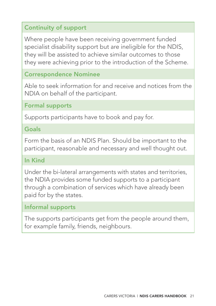#### Continuity of support

Where people have been receiving government funded specialist disability support but are ineligible for the NDIS, they will be assisted to achieve similar outcomes to those they were achieving prior to the introduction of the Scheme.

#### Correspondence Nominee

Able to seek information for and receive and notices from the NDIA on behalf of the participant.

#### Formal supports

Supports participants have to book and pay for.

#### Goals

Form the basis of an NDIS Plan. Should be important to the participant, reasonable and necessary and well thought out.

#### In Kind

Under the bi-lateral arrangements with states and territories, the NDIA provides some funded supports to a participant through a combination of services which have already been paid for by the states.

#### Informal supports

The supports participants get from the people around them, for example family, friends, neighbours.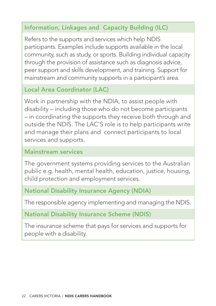### Information, Linkages and Capacity Building (ILC)

Refers to the supports and services which help NDIS participants. Examples include supports available in the local community, such as study, or sports. Building individual capacity through the provision of assistance such as diagnosis advice, peer support and skills development, and training. Support for mainstream and community supports in a participant's area.

#### Local Area Coordinator (LAC)

Work in partnership with the NDIA, to assist people with disability – including those who do not become participants – in coordinating the supports they receive both through and outside the NDIS. The LAC'S role is to help participants write and manage their plans and connect participants to local services and supports.

#### Mainstream services

The government systems providing services to the Australian public e.g. health, mental health, education, justice, housing, child protection and employment services.

#### National Disability Insurance Agency (NDIA)

The responsible agency implementing and managing the NDIS.

#### National Disability Insurance Scheme (NDIS)

The insurance scheme that pays for services and supports for people with a disability.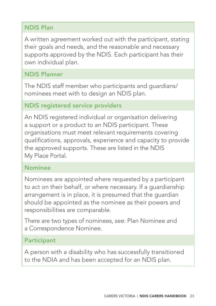#### NDIS Plan

A written agreement worked out with the participant, stating their goals and needs, and the reasonable and necessary supports approved by the NDIS. Each participant has their own individual plan.

#### NDIS Planner

The NDIS staff member who participants and guardians/ nominees meet with to design an NDIS plan.

#### NDIS registered service providers

An NDIS registered individual or organisation delivering a support or a product to an NDIS participant. These organisations must meet relevant requirements covering qualifications, approvals, experience and capacity to provide the approved supports. These are listed in the NDIS My Place Portal.

#### Nominee

Nominees are appointed where requested by a participant to act on their behalf, or where necessary. If a guardianship arrangement is in place, it is presumed that the guardian should be appointed as the nominee as their powers and responsibilities are comparable.

There are two types of nominees, see: Plan Nominee and a Correspondence Nominee.

#### Participant

A person with a disability who has successfully transitioned to the NDIA and has been accepted for an NDIS plan.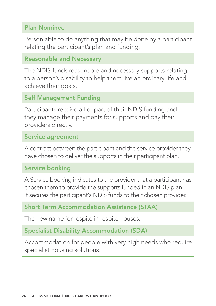#### Plan Nominee

Person able to do anything that may be done by a participant relating the participant's plan and funding.

#### Reasonable and Necessary

The NDIS funds reasonable and necessary supports relating to a person's disability to help them live an ordinary life and achieve their goals.

#### Self Management Funding

Participants receive all or part of their NDIS funding and they manage their payments for supports and pay their providers directly.

#### Service agreement

A contract between the participant and the service provider they have chosen to deliver the supports in their participant plan.

#### Service booking

A Service booking indicates to the provider that a participant has chosen them to provide the supports funded in an NDIS plan. It secures the participant's NDIS funds to their chosen provider.

#### Short Term Accommodation Assistance (STAA)

The new name for respite in respite houses.

Specialist Disability Accommodation (SDA)

Accommodation for people with very high needs who require specialist housing solutions.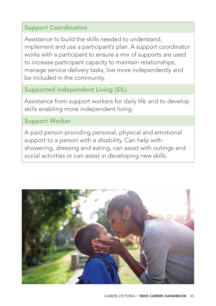#### Support Coordination

Assistance to build the skills needed to understand, implement and use a participant's plan. A support coordinator works with a participant to ensure a mix of supports are used to increase participant capacity to maintain relationships, manage service delivery tasks, live more independently and be included in the community.

#### Supported Independent Living (SIL)

Assistance from support workers for daily life and to develop skills enabling more independent living.

#### Support Worker

A paid person providing personal, physical and emotional support to a person with a disability. Can help with showering, dressing and eating, can assist with outings and social activities or can assist in developing new skills.

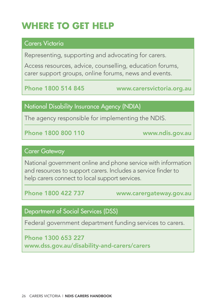## **WHERE TO GET HELP**

#### Carers Victoria

Representing, supporting and advocating for carers.

Access resources, advice, counselling, education forums, carer support groups, online forums, news and events.

Phone 1800 514 845 www.carersvictoria.org.au

#### National Disability Insurance Agency (NDIA)

The agency responsible for implementing the NDIS.

Phone 1800 800 110 www.ndis.gov.au

#### Carer Gateway

National government online and phone service with information and resources to support carers. Includes a service finder to help carers connect to local support services.

Phone 1800 422 737 www.carergateway.gov.au

#### Department of Social Services (DSS)

Federal government department funding services to carers.

Phone 1300 653 227 www.dss.gov.au/disability-and-carers/carers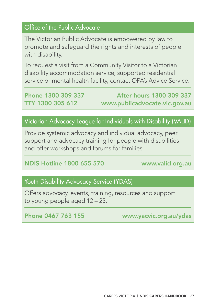### Office of the Public Advocate

The Victorian Public Advocate is empowered by law to promote and safeguard the rights and interests of people with disability.

To request a visit from a Community Visitor to a Victorian disability accommodation service, supported residential service or mental health facility, contact OPA's Advice Service.

Phone 1300 309 337 After hours 1300 309 337 TTY 1300 305 612 www.publicadvocate.vic.gov.au

#### Victorian Advocacy League for Individuals with Disability (VALID)

Provide systemic advocacy and individual advocacy, peer support and advocacy training for people with disabilities and offer workshops and forums for families.

#### NDIS Hotline 1800 655 570 www.valid.org.au

#### Youth Disability Advocacy Service (YDAS)

Offers advocacy, events, training, resources and support to young people aged 12 – 25.

Phone 0467 763 155 www.yacvic.org.au/ydas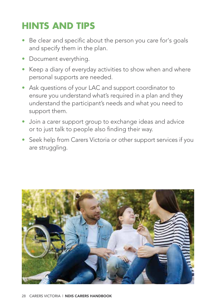## **HINTS AND TIPS**

- Be clear and specific about the person you care for's goals and specify them in the plan.
- Document everything.
- Keep a diary of everyday activities to show when and where personal supports are needed.
- Ask questions of your LAC and support coordinator to ensure you understand what's required in a plan and they understand the participant's needs and what you need to support them.
- Join a carer support group to exchange ideas and advice or to just talk to people also finding their way.
- Seek help from Carers Victoria or other support services if you are struggling.

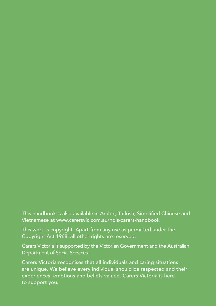This handbook is also available in Arabic, Turkish, Simplified Chinese and Vietnamese at www.carersvic.com.au/ndis-carers-handbook

This work is copyright. Apart from any use as permitted under the Copyright Act 1968, all other rights are reserved.

Carers Victoria is supported by the Victorian Government and the Australian Department of Social Services.

Carers Victoria recognises that all individuals and caring situations are unique. We believe every individual should be respected and their experiences, emotions and beliefs valued. Carers Victoria is here to support you.